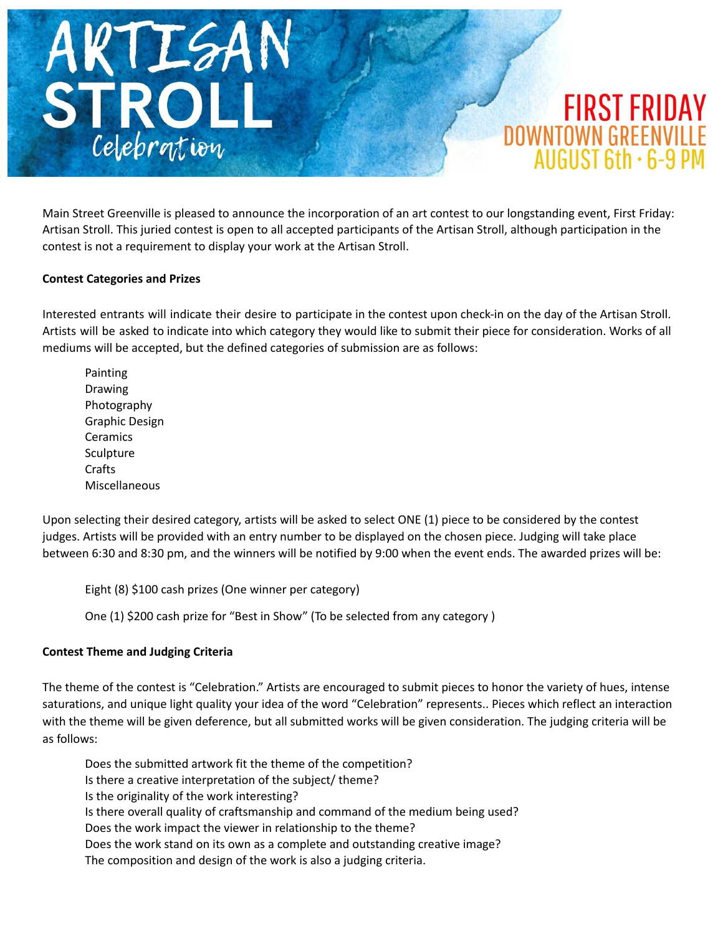

Main Street Greenville is pleased to announce the incorporation of an art contest to our longstanding event, First Friday: Artisan Stroll. This juried contest is open to all accepted participants of the Artisan Stroll, although participation in the contest is not a requirement to display your work at the Artisan Stroll.

# **Contest Categories and Prizes**

Interested entrants will indicate their desire to participate in the contest upon check-in on the day of the Artisan Stroll. Artists will be asked to indicate into which category they would like to submit their piece for consideration. Works of all mediums will be accepted, but the defined categories of submission are as follows:

Painting Drawing Photography Graphic Design **Ceramics Sculpture Crafts** Miscellaneous

Upon selecting their desired category, artists will be asked to select ONE (1) piece to be considered by the contest judges. Artists will be provided with an entry number to be displayed on the chosen piece. Judging will take place between 6:30 and 8:30 pm, and the winners will be notified by 9:00 when the event ends. The awarded prizes will be:

Eight (8) \$100 cash prizes (One winner per category)

One (1) \$200 cash prize for "Best in Show" (To be selected from any category )

# **Contest Theme and Judging Criteria**

The theme of the contest is "Celebration." Artists are encouraged to submit pieces to honor the variety of hues, intense saturations, and unique light quality your idea of the word "Celebration" represents.. Pieces which reflect an interaction with the theme will be given deference, but all submitted works will be given consideration. The judging criteria will be as follows:

Does the submitted artwork fit the theme of the competition? Is there a creative interpretation of the subject/ theme? Is the originality of the work interesting? Is there overall quality of craftsmanship and command of the medium being used? Does the work impact the viewer in relationship to the theme? Does the work stand on its own as a complete and outstanding creative image? The composition and design of the work is also a judging criteria.